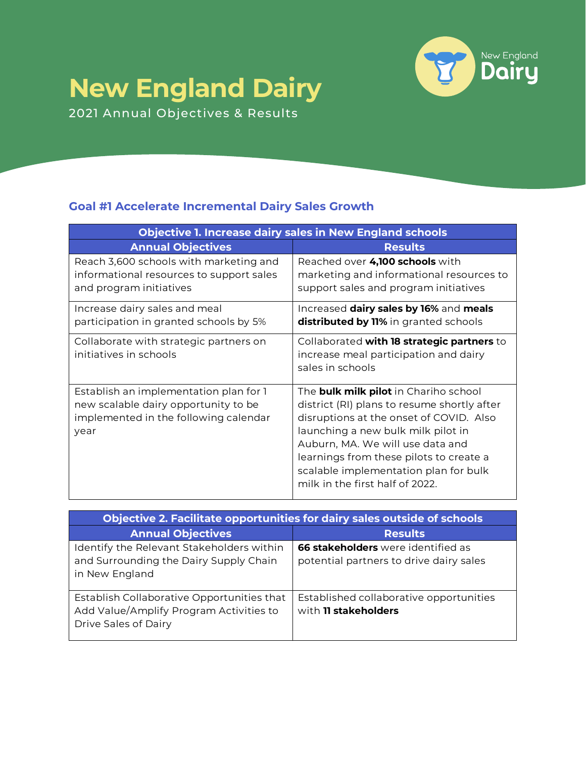## **New England Dairy**



2021 Annual Objectives & Results

## **Goal #1 Accelerate Incremental Dairy Sales Growth**

| <b>Objective 1. Increase dairy sales in New England schools</b>                                                                 |                                                                                                                                                                                                                                                                                                                                         |
|---------------------------------------------------------------------------------------------------------------------------------|-----------------------------------------------------------------------------------------------------------------------------------------------------------------------------------------------------------------------------------------------------------------------------------------------------------------------------------------|
| <b>Annual Objectives</b>                                                                                                        | <b>Results</b>                                                                                                                                                                                                                                                                                                                          |
| Reach 3,600 schools with marketing and<br>informational resources to support sales<br>and program initiatives                   | Reached over 4,100 schools with<br>marketing and informational resources to<br>support sales and program initiatives                                                                                                                                                                                                                    |
| Increase dairy sales and meal<br>participation in granted schools by 5%                                                         | Increased dairy sales by 16% and meals<br>distributed by 11% in granted schools                                                                                                                                                                                                                                                         |
| Collaborate with strategic partners on<br>initiatives in schools                                                                | Collaborated with 18 strategic partners to<br>increase meal participation and dairy<br>sales in schools                                                                                                                                                                                                                                 |
| Establish an implementation plan for 1<br>new scalable dairy opportunity to be<br>implemented in the following calendar<br>year | The <b>bulk milk pilot</b> in Chariho school<br>district (RI) plans to resume shortly after<br>disruptions at the onset of COVID. Also<br>launching a new bulk milk pilot in<br>Auburn, MA. We will use data and<br>learnings from these pilots to create a<br>scalable implementation plan for bulk<br>milk in the first half of 2022. |

| Objective 2. Facilitate opportunities for dairy sales outside of schools                                      |                                                                                      |
|---------------------------------------------------------------------------------------------------------------|--------------------------------------------------------------------------------------|
| <b>Annual Objectives</b>                                                                                      | <b>Results</b>                                                                       |
| Identify the Relevant Stakeholders within<br>and Surrounding the Dairy Supply Chain<br>in New England         | <b>66 stakeholders</b> were identified as<br>potential partners to drive dairy sales |
| Establish Collaborative Opportunities that<br>Add Value/Amplify Program Activities to<br>Drive Sales of Dairy | Established collaborative opportunities<br>with 11 stakeholders                      |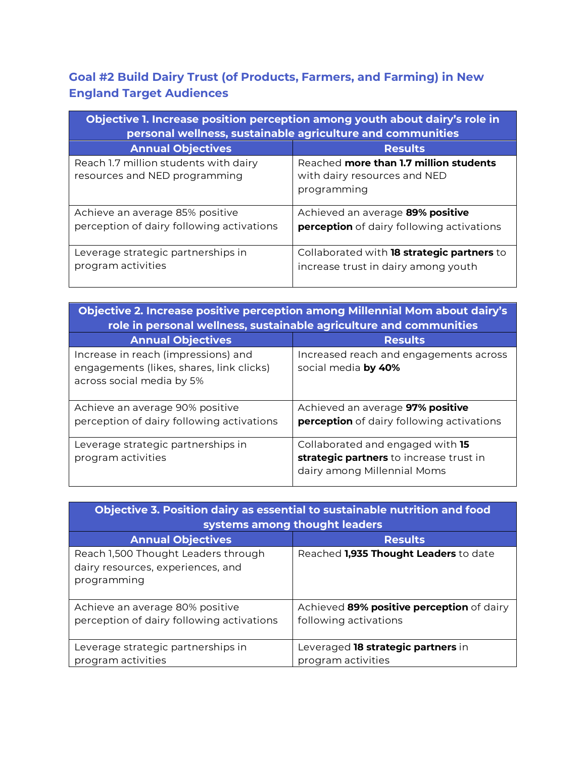## **Goal #2 Build Dairy Trust (of Products, Farmers, and Farming) in New England Target Audiences**

| Objective 1. Increase position perception among youth about dairy's role in<br>personal wellness, sustainable agriculture and communities |                                                                                       |  |
|-------------------------------------------------------------------------------------------------------------------------------------------|---------------------------------------------------------------------------------------|--|
| <b>Annual Objectives</b>                                                                                                                  | <b>Results</b>                                                                        |  |
| Reach 1.7 million students with dairy<br>resources and NED programming                                                                    | Reached more than 1.7 million students<br>with dairy resources and NED<br>programming |  |
| Achieve an average 85% positive<br>perception of dairy following activations                                                              | Achieved an average 89% positive<br>perception of dairy following activations         |  |
| Leverage strategic partnerships in<br>program activities                                                                                  | Collaborated with 18 strategic partners to<br>increase trust in dairy among youth     |  |

| Objective 2. Increase positive perception among Millennial Mom about dairy's<br>role in personal wellness, sustainable agriculture and communities |                                                                                                            |  |
|----------------------------------------------------------------------------------------------------------------------------------------------------|------------------------------------------------------------------------------------------------------------|--|
| <b>Annual Objectives</b>                                                                                                                           | <b>Results</b>                                                                                             |  |
| Increase in reach (impressions) and<br>engagements (likes, shares, link clicks)<br>across social media by 5%                                       | Increased reach and engagements across<br>social media by 40%                                              |  |
| Achieve an average 90% positive<br>perception of dairy following activations                                                                       | Achieved an average 97% positive<br>perception of dairy following activations                              |  |
| Leverage strategic partnerships in<br>program activities                                                                                           | Collaborated and engaged with 15<br>strategic partners to increase trust in<br>dairy among Millennial Moms |  |

| Objective 3. Position dairy as essential to sustainable nutrition and food<br>systems among thought leaders |                                                                    |
|-------------------------------------------------------------------------------------------------------------|--------------------------------------------------------------------|
| <b>Annual Objectives</b>                                                                                    | <b>Results</b>                                                     |
| Reach 1,500 Thought Leaders through<br>dairy resources, experiences, and<br>programming                     | Reached 1,935 Thought Leaders to date                              |
| Achieve an average 80% positive<br>perception of dairy following activations                                | Achieved 89% positive perception of dairy<br>following activations |
| Leverage strategic partnerships in<br>program activities                                                    | Leveraged 18 strategic partners in<br>program activities           |